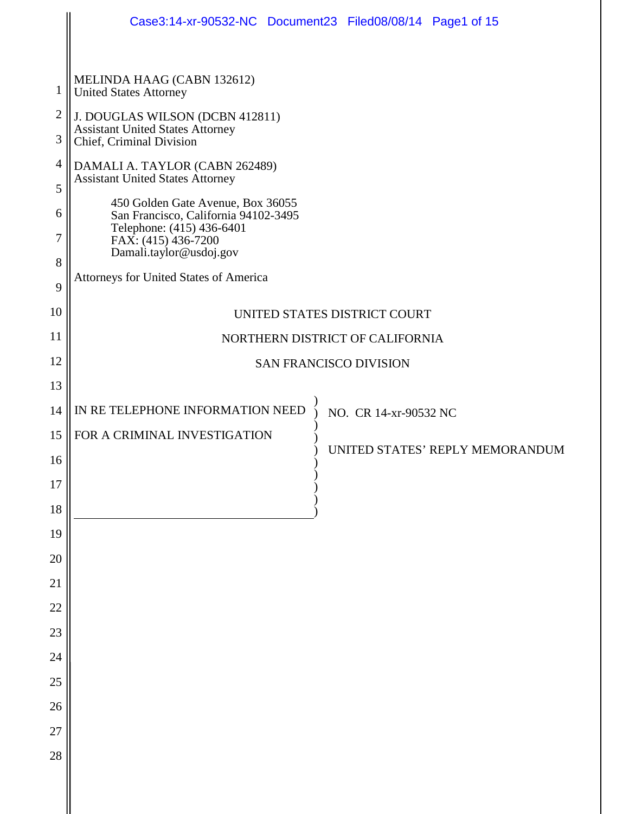|                |                                                                                                        | Case3:14-xr-90532-NC Document23 Filed08/08/14 Page1 of 15 |
|----------------|--------------------------------------------------------------------------------------------------------|-----------------------------------------------------------|
| $\mathbf{1}$   | MELINDA HAAG (CABN 132612)<br><b>United States Attorney</b>                                            |                                                           |
| $\mathfrak{2}$ | J. DOUGLAS WILSON (DCBN 412811)                                                                        |                                                           |
| 3              | <b>Assistant United States Attorney</b><br>Chief, Criminal Division                                    |                                                           |
| 4              | DAMALI A. TAYLOR (CABN 262489)                                                                         |                                                           |
| 5              | <b>Assistant United States Attorney</b>                                                                |                                                           |
| 6<br>7         | 450 Golden Gate Avenue, Box 36055<br>San Francisco, California 94102-3495<br>Telephone: (415) 436-6401 |                                                           |
| 8              | FAX: (415) 436-7200<br>Damali.taylor@usdoj.gov                                                         |                                                           |
| 9              | Attorneys for United States of America                                                                 |                                                           |
| 10             |                                                                                                        | UNITED STATES DISTRICT COURT                              |
| 11             | NORTHERN DISTRICT OF CALIFORNIA                                                                        |                                                           |
| 12             | <b>SAN FRANCISCO DIVISION</b>                                                                          |                                                           |
| 13             |                                                                                                        |                                                           |
| 14             | IN RE TELEPHONE INFORMATION NEED                                                                       | NO. CR 14-xr-90532 NC                                     |
| 15             | FOR A CRIMINAL INVESTIGATION                                                                           | UNITED STATES' REPLY MEMORANDUM                           |
| 16             |                                                                                                        |                                                           |
| 17             |                                                                                                        |                                                           |
| $18\,$<br>19   |                                                                                                        |                                                           |
| $20\,$         |                                                                                                        |                                                           |
| 21             |                                                                                                        |                                                           |
| $22\,$         |                                                                                                        |                                                           |
| 23             |                                                                                                        |                                                           |
| 24             |                                                                                                        |                                                           |
| $25\,$         |                                                                                                        |                                                           |
| 26             |                                                                                                        |                                                           |
| $27\,$         |                                                                                                        |                                                           |
| 28             |                                                                                                        |                                                           |
|                |                                                                                                        |                                                           |

II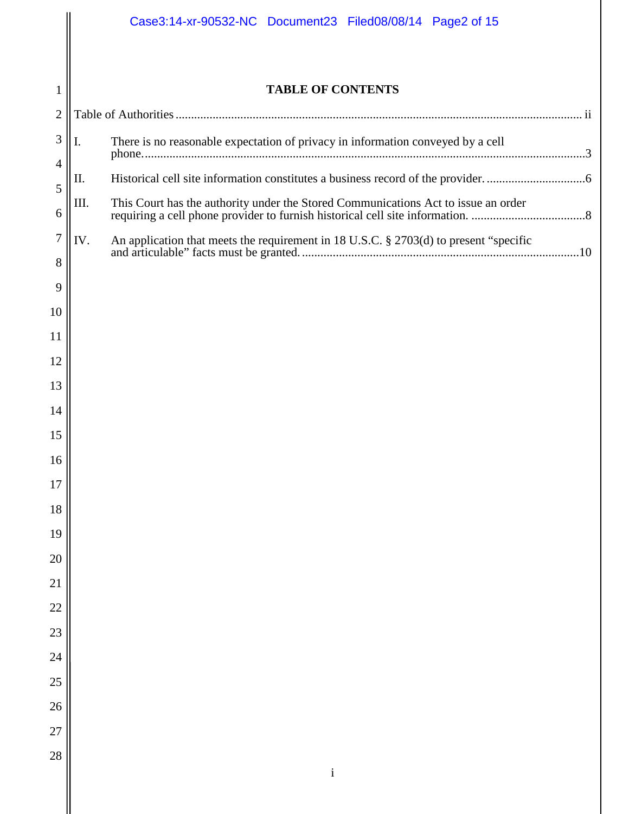$\parallel$ 

| $\mathbf{1}$     | <b>TABLE OF CONTENTS</b>                                                                     |                                                                                 |  |
|------------------|----------------------------------------------------------------------------------------------|---------------------------------------------------------------------------------|--|
| $\overline{2}$   |                                                                                              |                                                                                 |  |
| 3                | I.                                                                                           | There is no reasonable expectation of privacy in information conveyed by a cell |  |
| 4                |                                                                                              |                                                                                 |  |
| 5                | Π.                                                                                           |                                                                                 |  |
| 6                | III.                                                                                         |                                                                                 |  |
| $\boldsymbol{7}$ | An application that meets the requirement in 18 U.S.C. § 2703(d) to present "specific<br>IV. |                                                                                 |  |
| 8                |                                                                                              |                                                                                 |  |
| 9                |                                                                                              |                                                                                 |  |
| 10               |                                                                                              |                                                                                 |  |
| 11               |                                                                                              |                                                                                 |  |
| 12               |                                                                                              |                                                                                 |  |
| 13               |                                                                                              |                                                                                 |  |
| 14               |                                                                                              |                                                                                 |  |
| 15               |                                                                                              |                                                                                 |  |
| 16               |                                                                                              |                                                                                 |  |
| 17               |                                                                                              |                                                                                 |  |
| 18               |                                                                                              |                                                                                 |  |
| 19               |                                                                                              |                                                                                 |  |
| 20               |                                                                                              |                                                                                 |  |
| 21               |                                                                                              |                                                                                 |  |
| 22               |                                                                                              |                                                                                 |  |
| 23               |                                                                                              |                                                                                 |  |
| 24               |                                                                                              |                                                                                 |  |
| 25               |                                                                                              |                                                                                 |  |
| 26               |                                                                                              |                                                                                 |  |
| 27               |                                                                                              |                                                                                 |  |
| 28               |                                                                                              | $\rm i$                                                                         |  |
|                  |                                                                                              |                                                                                 |  |
|                  |                                                                                              |                                                                                 |  |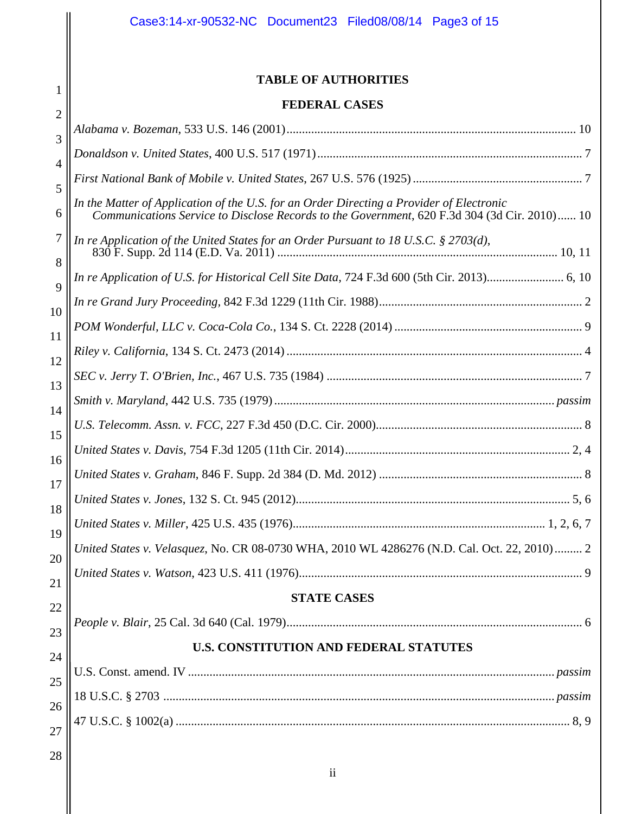1

# **TABLE OF AUTHORITIES**

### **FEDERAL CASES**

| I LIJERALI VADED                                                                                                                                                                         |
|------------------------------------------------------------------------------------------------------------------------------------------------------------------------------------------|
|                                                                                                                                                                                          |
|                                                                                                                                                                                          |
|                                                                                                                                                                                          |
| In the Matter of Application of the U.S. for an Order Directing a Provider of Electronic<br>Communications Service to Disclose Records to the Government, 620 F.3d 304 (3d Cir. 2010) 10 |
| In re Application of the United States for an Order Pursuant to 18 U.S.C. § 2703(d),                                                                                                     |
| In re Application of U.S. for Historical Cell Site Data, 724 F.3d 600 (5th Cir. 2013) 6, 10                                                                                              |
|                                                                                                                                                                                          |
|                                                                                                                                                                                          |
|                                                                                                                                                                                          |
|                                                                                                                                                                                          |
|                                                                                                                                                                                          |
|                                                                                                                                                                                          |
|                                                                                                                                                                                          |
|                                                                                                                                                                                          |
|                                                                                                                                                                                          |
|                                                                                                                                                                                          |
| United States v. Velasquez, No. CR 08-0730 WHA, 2010 WL 4286276 (N.D. Cal. Oct. 22, 2010) 2                                                                                              |
|                                                                                                                                                                                          |
| <b>STATE CASES</b>                                                                                                                                                                       |
|                                                                                                                                                                                          |
| <b>U.S. CONSTITUTION AND FEDERAL STATUTES</b>                                                                                                                                            |
|                                                                                                                                                                                          |
|                                                                                                                                                                                          |
|                                                                                                                                                                                          |
|                                                                                                                                                                                          |
|                                                                                                                                                                                          |

ii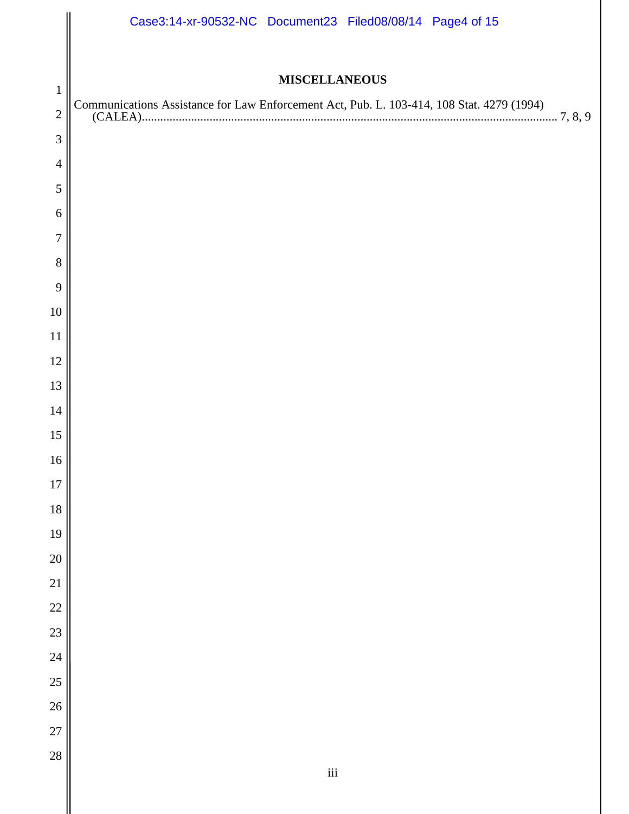|                 | Case3:14-xr-90532-NC Document23 Filed08/08/14 Page4 of 15                                 |
|-----------------|-------------------------------------------------------------------------------------------|
|                 |                                                                                           |
| $\mathbf{1}$    | <b>MISCELLANEOUS</b>                                                                      |
| $\overline{c}$  | Communications Assistance for Law Enforcement Act, Pub. L. 103-414, 108 Stat. 4279 (1994) |
| 3               |                                                                                           |
| $\overline{4}$  |                                                                                           |
| 5               |                                                                                           |
| 6               |                                                                                           |
| $\overline{7}$  |                                                                                           |
| 8               |                                                                                           |
| 9               |                                                                                           |
| 10              |                                                                                           |
| 11              |                                                                                           |
| 12              |                                                                                           |
| 13              |                                                                                           |
| 14              |                                                                                           |
| 15              |                                                                                           |
| 16              |                                                                                           |
| 17<br>18        |                                                                                           |
| 19              |                                                                                           |
| 20              |                                                                                           |
| $\overline{21}$ |                                                                                           |
| 22              |                                                                                           |
| $\overline{23}$ |                                                                                           |
| $\overline{24}$ |                                                                                           |
| 25              |                                                                                           |
| $\overline{26}$ |                                                                                           |
| $\overline{27}$ |                                                                                           |
| 28              | $\rm iii$                                                                                 |
|                 |                                                                                           |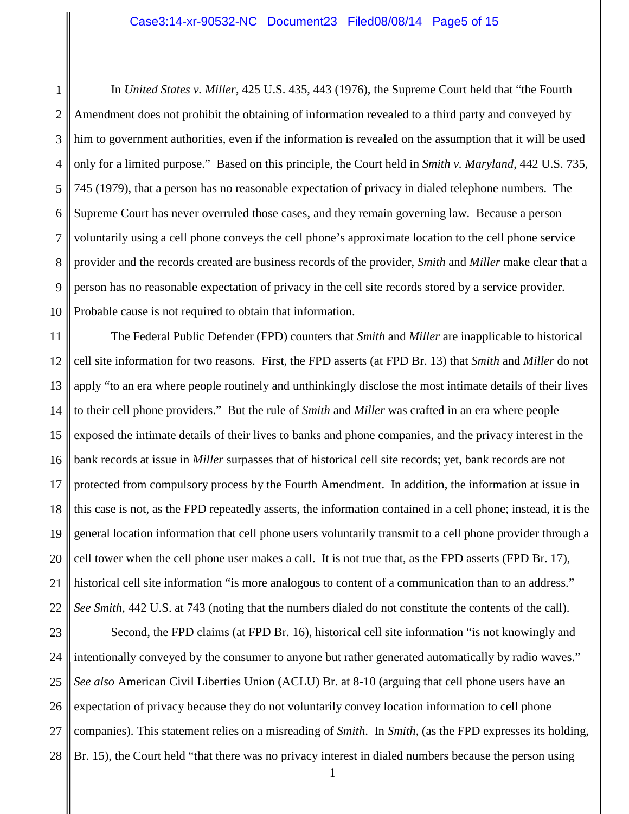1 2 3 4 5 6 7 8 9 10 In *United States v. Miller*, 425 U.S. 435, 443 (1976), the Supreme Court held that "the Fourth Amendment does not prohibit the obtaining of information revealed to a third party and conveyed by him to government authorities, even if the information is revealed on the assumption that it will be used only for a limited purpose." Based on this principle, the Court held in *Smith v. Maryland*, 442 U.S. 735, 745 (1979), that a person has no reasonable expectation of privacy in dialed telephone numbers. The Supreme Court has never overruled those cases, and they remain governing law. Because a person voluntarily using a cell phone conveys the cell phone's approximate location to the cell phone service provider and the records created are business records of the provider, *Smith* and *Miller* make clear that a person has no reasonable expectation of privacy in the cell site records stored by a service provider. Probable cause is not required to obtain that information.

11 12 13 14 15 16 17 18 19 20 21 22 The Federal Public Defender (FPD) counters that *Smith* and *Miller* are inapplicable to historical cell site information for two reasons. First, the FPD asserts (at FPD Br. 13) that *Smith* and *Miller* do not apply "to an era where people routinely and unthinkingly disclose the most intimate details of their lives to their cell phone providers." But the rule of *Smith* and *Miller* was crafted in an era where people exposed the intimate details of their lives to banks and phone companies, and the privacy interest in the bank records at issue in *Miller* surpasses that of historical cell site records; yet, bank records are not protected from compulsory process by the Fourth Amendment. In addition, the information at issue in this case is not, as the FPD repeatedly asserts, the information contained in a cell phone; instead, it is the general location information that cell phone users voluntarily transmit to a cell phone provider through a cell tower when the cell phone user makes a call. It is not true that, as the FPD asserts (FPD Br. 17), historical cell site information "is more analogous to content of a communication than to an address." *See Smith*, 442 U.S. at 743 (noting that the numbers dialed do not constitute the contents of the call).

23 24 25 26 27 28 Second, the FPD claims (at FPD Br. 16), historical cell site information "is not knowingly and intentionally conveyed by the consumer to anyone but rather generated automatically by radio waves." *See also* American Civil Liberties Union (ACLU) Br. at 8-10 (arguing that cell phone users have an expectation of privacy because they do not voluntarily convey location information to cell phone companies). This statement relies on a misreading of *Smith*. In *Smith*, (as the FPD expresses its holding, Br. 15), the Court held "that there was no privacy interest in dialed numbers because the person using

1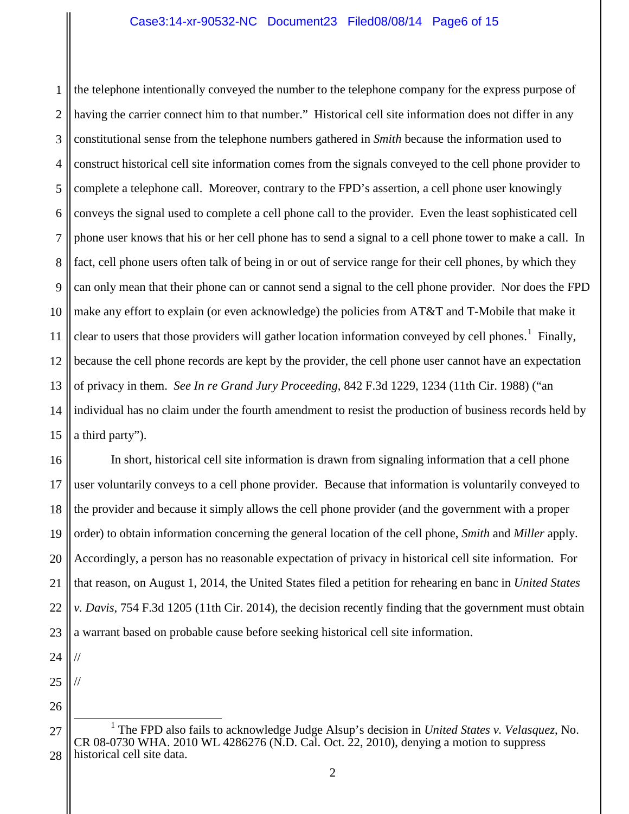1 2 3 4 5 6 7 8 9 10 11 12 13 14 15 the telephone intentionally conveyed the number to the telephone company for the express purpose of having the carrier connect him to that number." Historical cell site information does not differ in any constitutional sense from the telephone numbers gathered in *Smith* because the information used to construct historical cell site information comes from the signals conveyed to the cell phone provider to complete a telephone call. Moreover, contrary to the FPD's assertion, a cell phone user knowingly conveys the signal used to complete a cell phone call to the provider. Even the least sophisticated cell phone user knows that his or her cell phone has to send a signal to a cell phone tower to make a call. In fact, cell phone users often talk of being in or out of service range for their cell phones, by which they can only mean that their phone can or cannot send a signal to the cell phone provider. Nor does the FPD make any effort to explain (or even acknowledge) the policies from AT&T and T-Mobile that make it clear to users that those providers will gather location information conveyed by cell phones.<sup>[1](#page-5-0)</sup> Finally, because the cell phone records are kept by the provider, the cell phone user cannot have an expectation of privacy in them. *See In re Grand Jury Proceeding*, 842 F.3d 1229, 1234 (11th Cir. 1988) ("an individual has no claim under the fourth amendment to resist the production of business records held by a third party").

16 17 18 19 20 21 22 23 In short, historical cell site information is drawn from signaling information that a cell phone user voluntarily conveys to a cell phone provider. Because that information is voluntarily conveyed to the provider and because it simply allows the cell phone provider (and the government with a proper order) to obtain information concerning the general location of the cell phone, *Smith* and *Miller* apply. Accordingly, a person has no reasonable expectation of privacy in historical cell site information. For that reason, on August 1, 2014, the United States filed a petition for rehearing en banc in *United States v. Davis*, 754 F.3d 1205 (11th Cir. 2014), the decision recently finding that the government must obtain a warrant based on probable cause before seeking historical cell site information.

24

//

//

- 25
- 26

<span id="page-5-0"></span><sup>27</sup> 28 1 The FPD also fails to acknowledge Judge Alsup's decision in *United States v. Velasquez*, No. CR 08-0730 WHA. 2010 WL 4286276 (N.D. Cal. Oct. 22, 2010), denying a motion to suppress historical cell site data.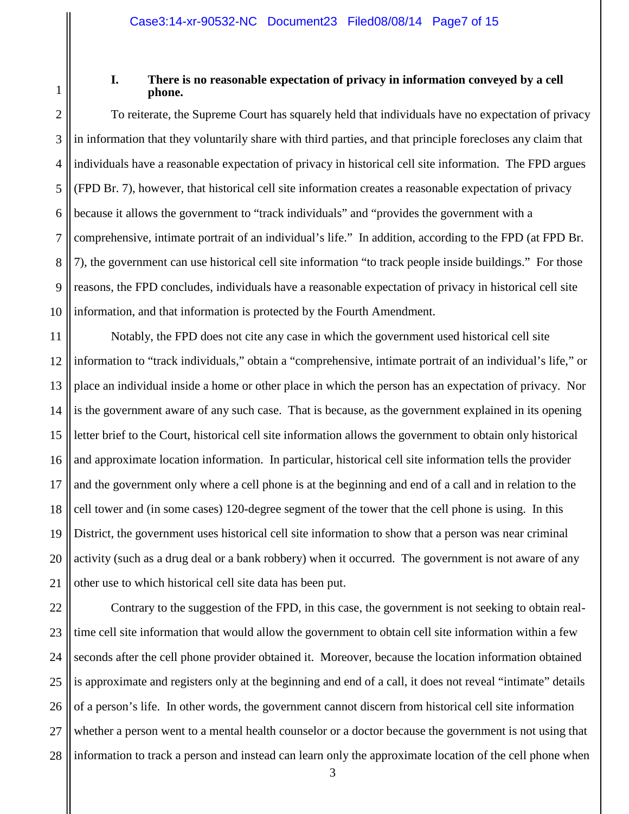1

#### **I. There is no reasonable expectation of privacy in information conveyed by a cell phone.**

2 3 4 5 6 7 8 9 10 To reiterate, the Supreme Court has squarely held that individuals have no expectation of privacy in information that they voluntarily share with third parties, and that principle forecloses any claim that individuals have a reasonable expectation of privacy in historical cell site information. The FPD argues (FPD Br. 7), however, that historical cell site information creates a reasonable expectation of privacy because it allows the government to "track individuals" and "provides the government with a comprehensive, intimate portrait of an individual's life." In addition, according to the FPD (at FPD Br. 7), the government can use historical cell site information "to track people inside buildings." For those reasons, the FPD concludes, individuals have a reasonable expectation of privacy in historical cell site information, and that information is protected by the Fourth Amendment.

11 12 13 14 15 16 17 18 19 20 21 Notably, the FPD does not cite any case in which the government used historical cell site information to "track individuals," obtain a "comprehensive, intimate portrait of an individual's life," or place an individual inside a home or other place in which the person has an expectation of privacy. Nor is the government aware of any such case. That is because, as the government explained in its opening letter brief to the Court, historical cell site information allows the government to obtain only historical and approximate location information. In particular, historical cell site information tells the provider and the government only where a cell phone is at the beginning and end of a call and in relation to the cell tower and (in some cases) 120-degree segment of the tower that the cell phone is using. In this District, the government uses historical cell site information to show that a person was near criminal activity (such as a drug deal or a bank robbery) when it occurred. The government is not aware of any other use to which historical cell site data has been put.

22 23 24 25 26 27 28 Contrary to the suggestion of the FPD, in this case, the government is not seeking to obtain realtime cell site information that would allow the government to obtain cell site information within a few seconds after the cell phone provider obtained it. Moreover, because the location information obtained is approximate and registers only at the beginning and end of a call, it does not reveal "intimate" details of a person's life. In other words, the government cannot discern from historical cell site information whether a person went to a mental health counselor or a doctor because the government is not using that information to track a person and instead can learn only the approximate location of the cell phone when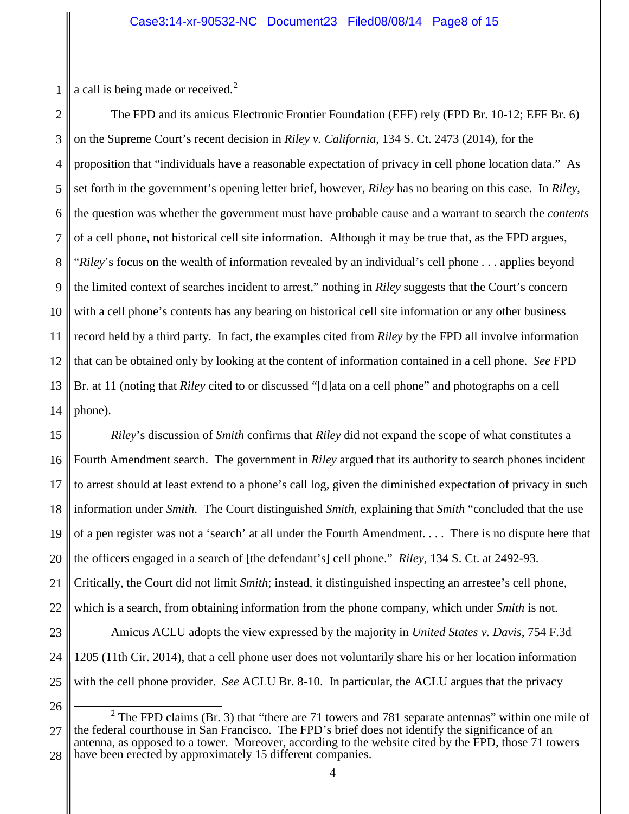1 a call is being made or received.<sup>[2](#page-7-0)</sup>

2 3 4 5 6 7 8 9 10 11 12 13 14 The FPD and its amicus Electronic Frontier Foundation (EFF) rely (FPD Br. 10-12; EFF Br. 6) on the Supreme Court's recent decision in *Riley v. California*, 134 S. Ct. 2473 (2014), for the proposition that "individuals have a reasonable expectation of privacy in cell phone location data." As set forth in the government's opening letter brief, however, *Riley* has no bearing on this case. In *Riley*, the question was whether the government must have probable cause and a warrant to search the *contents* of a cell phone, not historical cell site information. Although it may be true that, as the FPD argues, "*Riley*'s focus on the wealth of information revealed by an individual's cell phone . . . applies beyond the limited context of searches incident to arrest," nothing in *Riley* suggests that the Court's concern with a cell phone's contents has any bearing on historical cell site information or any other business record held by a third party. In fact, the examples cited from *Riley* by the FPD all involve information that can be obtained only by looking at the content of information contained in a cell phone. *See* FPD Br. at 11 (noting that *Riley* cited to or discussed "[d]ata on a cell phone" and photographs on a cell phone).

15 16 17 18 19 20 21 22 23 24 25 *Riley*'s discussion of *Smith* confirms that *Riley* did not expand the scope of what constitutes a Fourth Amendment search. The government in *Riley* argued that its authority to search phones incident to arrest should at least extend to a phone's call log, given the diminished expectation of privacy in such information under *Smith*. The Court distinguished *Smith*, explaining that *Smith* "concluded that the use of a pen register was not a 'search' at all under the Fourth Amendment. . . . There is no dispute here that the officers engaged in a search of [the defendant's] cell phone." *Riley*, 134 S. Ct. at 2492-93. Critically, the Court did not limit *Smith*; instead, it distinguished inspecting an arrestee's cell phone, which is a search, from obtaining information from the phone company, which under *Smith* is not. Amicus ACLU adopts the view expressed by the majority in *United States v. Davis*, 754 F.3d 1205 (11th Cir. 2014), that a cell phone user does not voluntarily share his or her location information with the cell phone provider. *See* ACLU Br. 8-10. In particular, the ACLU argues that the privacy

<sup>26</sup>

<span id="page-7-0"></span><sup>27</sup> 28  $2$  The FPD claims (Br. 3) that "there are 71 towers and 781 separate antennas" within one mile of the federal courthouse in San Francisco. The FPD's brief does not identify the significance of an antenna, as opposed to a tower. Moreover, according to the website cited by the FPD, those 71 towers have been erected by approximately 15 different companies.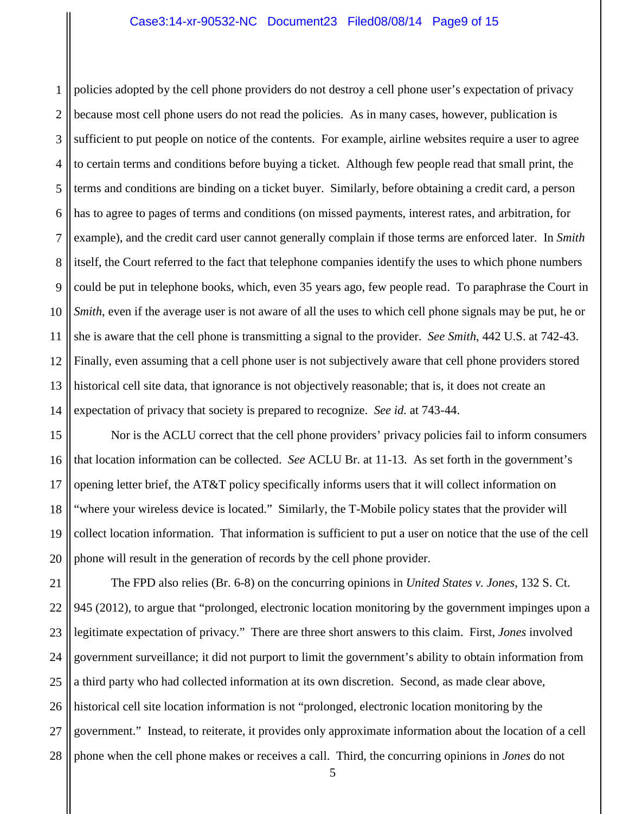1 2 3 4 5 6 7 8 9 10 11 12 13 14 policies adopted by the cell phone providers do not destroy a cell phone user's expectation of privacy because most cell phone users do not read the policies. As in many cases, however, publication is sufficient to put people on notice of the contents. For example, airline websites require a user to agree to certain terms and conditions before buying a ticket. Although few people read that small print, the terms and conditions are binding on a ticket buyer. Similarly, before obtaining a credit card, a person has to agree to pages of terms and conditions (on missed payments, interest rates, and arbitration, for example), and the credit card user cannot generally complain if those terms are enforced later. In *Smith* itself, the Court referred to the fact that telephone companies identify the uses to which phone numbers could be put in telephone books, which, even 35 years ago, few people read. To paraphrase the Court in *Smith*, even if the average user is not aware of all the uses to which cell phone signals may be put, he or she is aware that the cell phone is transmitting a signal to the provider. *See Smith*, 442 U.S. at 742-43. Finally, even assuming that a cell phone user is not subjectively aware that cell phone providers stored historical cell site data, that ignorance is not objectively reasonable; that is, it does not create an expectation of privacy that society is prepared to recognize. *See id.* at 743-44.

15 16 17 18 19 20 Nor is the ACLU correct that the cell phone providers' privacy policies fail to inform consumers that location information can be collected. *See* ACLU Br. at 11-13. As set forth in the government's opening letter brief, the AT&T policy specifically informs users that it will collect information on "where your wireless device is located." Similarly, the T-Mobile policy states that the provider will collect location information. That information is sufficient to put a user on notice that the use of the cell phone will result in the generation of records by the cell phone provider.

21 22 23 24 25 26 27 28 The FPD also relies (Br. 6-8) on the concurring opinions in *United States v. Jones*, 132 S. Ct. 945 (2012), to argue that "prolonged, electronic location monitoring by the government impinges upon a legitimate expectation of privacy." There are three short answers to this claim. First, *Jones* involved government surveillance; it did not purport to limit the government's ability to obtain information from a third party who had collected information at its own discretion. Second, as made clear above, historical cell site location information is not "prolonged, electronic location monitoring by the government." Instead, to reiterate, it provides only approximate information about the location of a cell phone when the cell phone makes or receives a call. Third, the concurring opinions in *Jones* do not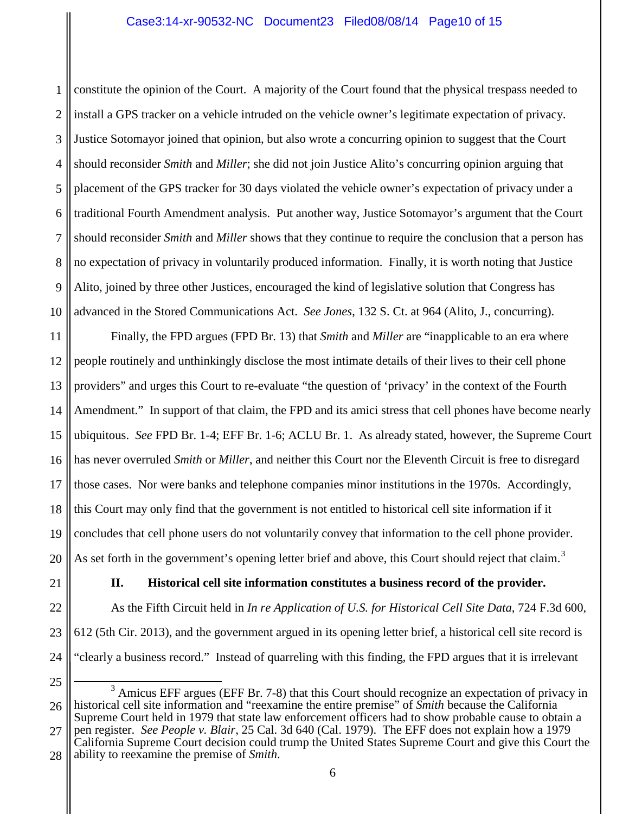1 2 3 4 5 6 7 8 9 10 constitute the opinion of the Court. A majority of the Court found that the physical trespass needed to install a GPS tracker on a vehicle intruded on the vehicle owner's legitimate expectation of privacy. Justice Sotomayor joined that opinion, but also wrote a concurring opinion to suggest that the Court should reconsider *Smith* and *Miller*; she did not join Justice Alito's concurring opinion arguing that placement of the GPS tracker for 30 days violated the vehicle owner's expectation of privacy under a traditional Fourth Amendment analysis. Put another way, Justice Sotomayor's argument that the Court should reconsider *Smith* and *Miller* shows that they continue to require the conclusion that a person has no expectation of privacy in voluntarily produced information. Finally, it is worth noting that Justice Alito, joined by three other Justices, encouraged the kind of legislative solution that Congress has advanced in the Stored Communications Act. *See Jones*, 132 S. Ct. at 964 (Alito, J., concurring).

11 12 13 14 15 16 17 18 19 20 Finally, the FPD argues (FPD Br. 13) that *Smith* and *Miller* are "inapplicable to an era where people routinely and unthinkingly disclose the most intimate details of their lives to their cell phone providers" and urges this Court to re-evaluate "the question of 'privacy' in the context of the Fourth Amendment." In support of that claim, the FPD and its amici stress that cell phones have become nearly ubiquitous. *See* FPD Br. 1-4; EFF Br. 1-6; ACLU Br. 1. As already stated, however, the Supreme Court has never overruled *Smith* or *Miller*, and neither this Court nor the Eleventh Circuit is free to disregard those cases. Nor were banks and telephone companies minor institutions in the 1970s. Accordingly, this Court may only find that the government is not entitled to historical cell site information if it concludes that cell phone users do not voluntarily convey that information to the cell phone provider. As set forth in the government's opening letter brief and above, this Court should reject that claim.<sup>[3](#page-9-0)</sup>

21

# **II. Historical cell site information constitutes a business record of the provider.**

22 23 24 As the Fifth Circuit held in *In re Application of U.S. for Historical Cell Site Data*, 724 F.3d 600, 612 (5th Cir. 2013), and the government argued in its opening letter brief, a historical cell site record is "clearly a business record." Instead of quarreling with this finding, the FPD argues that it is irrelevant

<sup>25</sup>

<span id="page-9-0"></span><sup>26</sup> 27 <sup>3</sup> Amicus EFF argues (EFF Br. 7-8) that this Court should recognize an expectation of privacy in historical cell site information and "reexamine the entire premise" of *Smith* because the California Supreme Court held in 1979 that state law enforcement officers had to show probable cause to obtain a pen register. *See People v. Blair*, 25 Cal. 3d 640 (Cal. 1979). The EFF does not explain how a 1979

<sup>28</sup> California Supreme Court decision could trump the United States Supreme Court and give this Court the ability to reexamine the premise of *Smith*.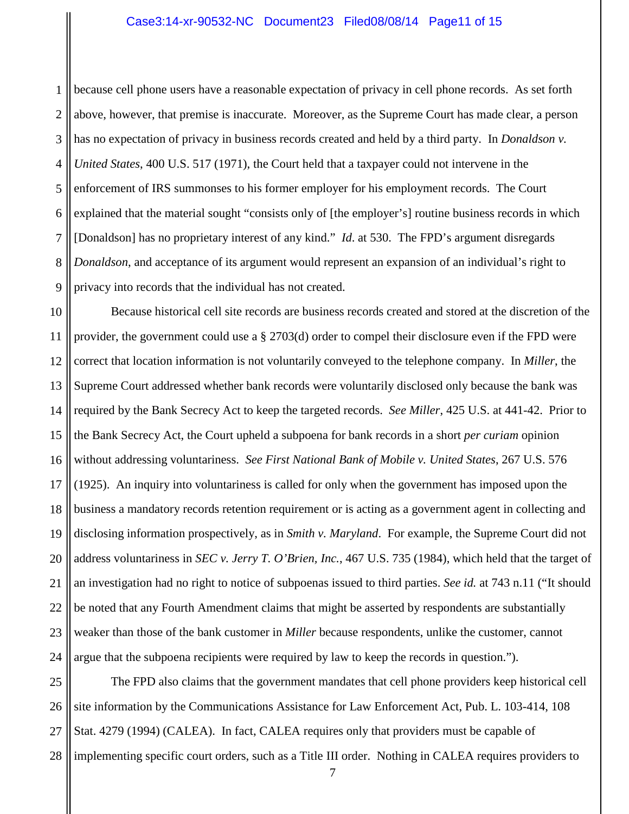1 2 3 4 5 6 7 8 9 because cell phone users have a reasonable expectation of privacy in cell phone records. As set forth above, however, that premise is inaccurate. Moreover, as the Supreme Court has made clear, a person has no expectation of privacy in business records created and held by a third party. In *Donaldson v. United States*, 400 U.S. 517 (1971), the Court held that a taxpayer could not intervene in the enforcement of IRS summonses to his former employer for his employment records. The Court explained that the material sought "consists only of [the employer's] routine business records in which [Donaldson] has no proprietary interest of any kind." *Id*. at 530. The FPD's argument disregards *Donaldson*, and acceptance of its argument would represent an expansion of an individual's right to privacy into records that the individual has not created.

10 11 12 13 14 15 16 17 18 19 20 21 22 23 24 Because historical cell site records are business records created and stored at the discretion of the provider, the government could use a § 2703(d) order to compel their disclosure even if the FPD were correct that location information is not voluntarily conveyed to the telephone company. In *Miller*, the Supreme Court addressed whether bank records were voluntarily disclosed only because the bank was required by the Bank Secrecy Act to keep the targeted records. *See Miller*, 425 U.S. at 441-42. Prior to the Bank Secrecy Act, the Court upheld a subpoena for bank records in a short *per curiam* opinion without addressing voluntariness. *See First National Bank of Mobile v. United States*, 267 U.S. 576 (1925). An inquiry into voluntariness is called for only when the government has imposed upon the business a mandatory records retention requirement or is acting as a government agent in collecting and disclosing information prospectively, as in *Smith v. Maryland*. For example, the Supreme Court did not address voluntariness in *SEC v. Jerry T. O'Brien, Inc.*, 467 U.S. 735 (1984), which held that the target of an investigation had no right to notice of subpoenas issued to third parties. *See id.* at 743 n.11 ("It should be noted that any Fourth Amendment claims that might be asserted by respondents are substantially weaker than those of the bank customer in *Miller* because respondents, unlike the customer, cannot argue that the subpoena recipients were required by law to keep the records in question.").

25 26 27 28 The FPD also claims that the government mandates that cell phone providers keep historical cell site information by the Communications Assistance for Law Enforcement Act, Pub. L. 103-414, 108 Stat. 4279 (1994) (CALEA). In fact, CALEA requires only that providers must be capable of implementing specific court orders, such as a Title III order. Nothing in CALEA requires providers to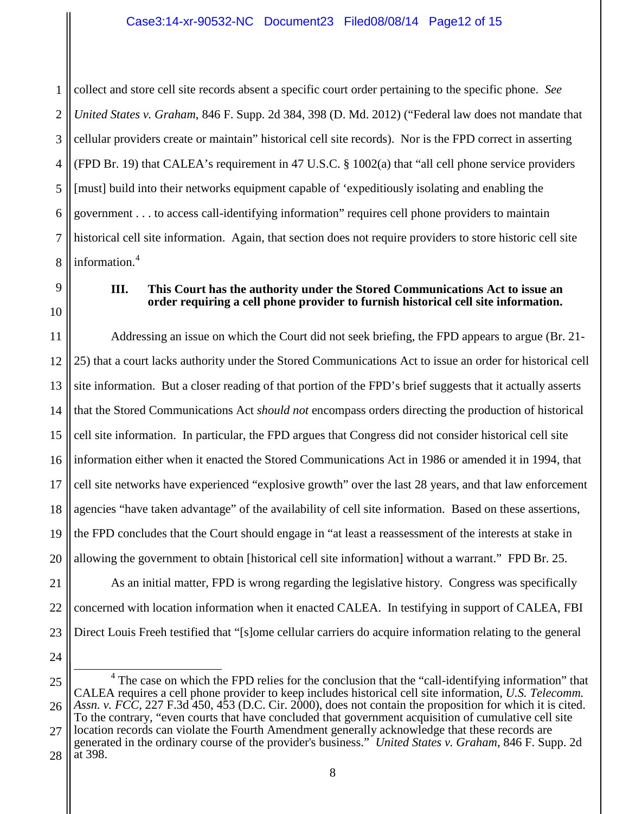1 2 3 4 5 6 7 8 collect and store cell site records absent a specific court order pertaining to the specific phone. *See United States v. Graham*, 846 F. Supp. 2d 384, 398 (D. Md. 2012) ("Federal law does not mandate that cellular providers create or maintain" historical cell site records). Nor is the FPD correct in asserting (FPD Br. 19) that CALEA's requirement in 47 U.S.C. § 1002(a) that "all cell phone service providers [must] build into their networks equipment capable of 'expeditiously isolating and enabling the government . . . to access call-identifying information" requires cell phone providers to maintain historical cell site information. Again, that section does not require providers to store historic cell site information.[4](#page-11-0)

9 10

### **III. This Court has the authority under the Stored Communications Act to issue an order requiring a cell phone provider to furnish historical cell site information.**

11 12 13 14 15 16 17 18 19 20 Addressing an issue on which the Court did not seek briefing, the FPD appears to argue (Br. 21- 25) that a court lacks authority under the Stored Communications Act to issue an order for historical cell site information. But a closer reading of that portion of the FPD's brief suggests that it actually asserts that the Stored Communications Act *should not* encompass orders directing the production of historical cell site information. In particular, the FPD argues that Congress did not consider historical cell site information either when it enacted the Stored Communications Act in 1986 or amended it in 1994, that cell site networks have experienced "explosive growth" over the last 28 years, and that law enforcement agencies "have taken advantage" of the availability of cell site information. Based on these assertions, the FPD concludes that the Court should engage in "at least a reassessment of the interests at stake in allowing the government to obtain [historical cell site information] without a warrant." FPD Br. 25.

21 22 23

As an initial matter, FPD is wrong regarding the legislative history. Congress was specifically concerned with location information when it enacted CALEA. In testifying in support of CALEA, FBI Direct Louis Freeh testified that "[s]ome cellular carriers do acquire information relating to the general

24

<span id="page-11-0"></span>25 26 <sup>4</sup> The case on which the FPD relies for the conclusion that the "call-identifying information" that CALEA requires a cell phone provider to keep includes historical cell site information, *U.S. Telecomm. Assn. v. FCC*, 227 F.3d 450, 453 (D.C. Cir. 2000), does not contain the proposition for which it is cited. To the contrary, "even courts that have concluded that government acquisition of cumulative cell site

27 28 location records can violate the Fourth Amendment generally acknowledge that these records are generated in the ordinary course of the provider's business." *United States v. Graham*, 846 F. Supp. 2d at 398.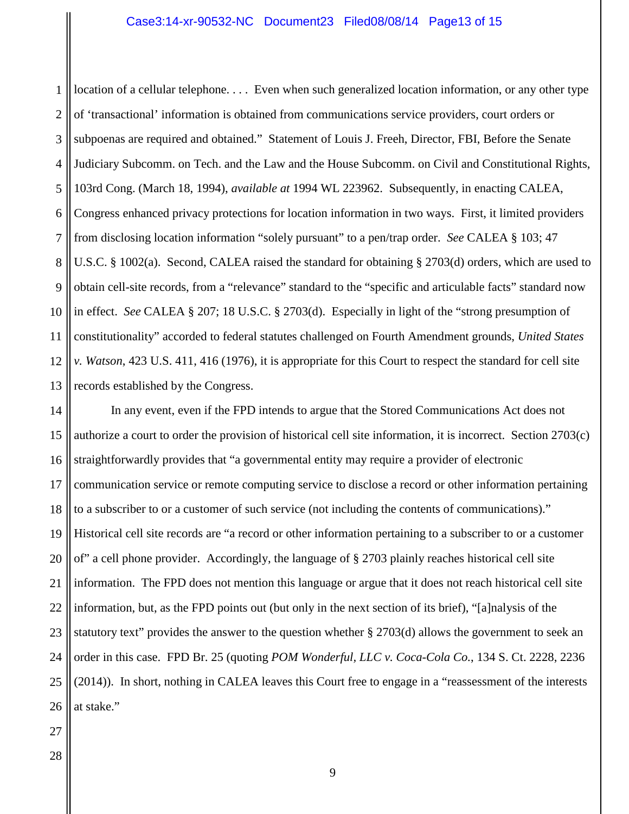1 2 3 4 5 6 7 8 9 10 11 12 13 location of a cellular telephone. . . . Even when such generalized location information, or any other type of 'transactional' information is obtained from communications service providers, court orders or subpoenas are required and obtained." Statement of Louis J. Freeh, Director, FBI, Before the Senate Judiciary Subcomm. on Tech. and the Law and the House Subcomm. on Civil and Constitutional Rights, 103rd Cong. (March 18, 1994), *available at* 1994 WL 223962. Subsequently, in enacting CALEA, Congress enhanced privacy protections for location information in two ways. First, it limited providers from disclosing location information "solely pursuant" to a pen/trap order. *See* CALEA § 103; 47 U.S.C. § 1002(a). Second, CALEA raised the standard for obtaining § 2703(d) orders, which are used to obtain cell-site records, from a "relevance" standard to the "specific and articulable facts" standard now in effect. *See* CALEA § 207; 18 U.S.C. § 2703(d). Especially in light of the "strong presumption of constitutionality" accorded to federal statutes challenged on Fourth Amendment grounds, *United States v. Watson*, 423 U.S. 411, 416 (1976), it is appropriate for this Court to respect the standard for cell site records established by the Congress.

14 15 16 17 18 19 20 21 22 23 24 25 26 In any event, even if the FPD intends to argue that the Stored Communications Act does not authorize a court to order the provision of historical cell site information, it is incorrect. Section 2703(c) straightforwardly provides that "a governmental entity may require a provider of electronic communication service or remote computing service to disclose a record or other information pertaining to a subscriber to or a customer of such service (not including the contents of communications)." Historical cell site records are "a record or other information pertaining to a subscriber to or a customer of" a cell phone provider. Accordingly, the language of § 2703 plainly reaches historical cell site information. The FPD does not mention this language or argue that it does not reach historical cell site information, but, as the FPD points out (but only in the next section of its brief), "[a]nalysis of the statutory text" provides the answer to the question whether § 2703(d) allows the government to seek an order in this case. FPD Br. 25 (quoting *POM Wonderful, LLC v. Coca-Cola Co.*, 134 S. Ct. 2228, 2236 (2014)). In short, nothing in CALEA leaves this Court free to engage in a "reassessment of the interests at stake."

27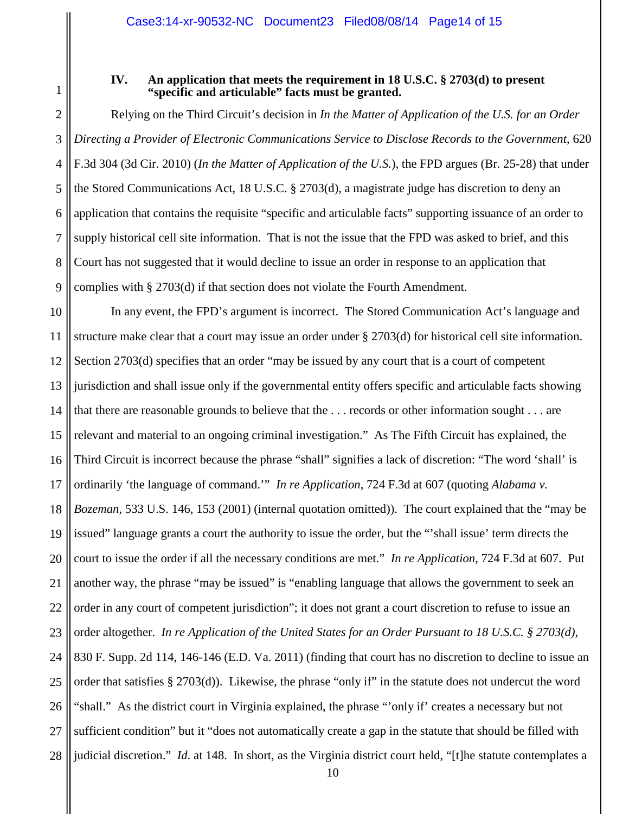#### **IV. An application that meets the requirement in 18 U.S.C. § 2703(d) to present "specific and articulable" facts must be granted.**

1

2 3 4 5 6 7 8 9 Relying on the Third Circuit's decision in *In the Matter of Application of the U.S. for an Order Directing a Provider of Electronic Communications Service to Disclose Records to the Government*, 620 F.3d 304 (3d Cir. 2010) (*In the Matter of Application of the U.S.*), the FPD argues (Br. 25-28) that under the Stored Communications Act, 18 U.S.C. § 2703(d), a magistrate judge has discretion to deny an application that contains the requisite "specific and articulable facts" supporting issuance of an order to supply historical cell site information. That is not the issue that the FPD was asked to brief, and this Court has not suggested that it would decline to issue an order in response to an application that complies with § 2703(d) if that section does not violate the Fourth Amendment.

10 11 12 13 14 15 16 17 18 19 20 21 22 23 24 25 26 27 28 In any event, the FPD's argument is incorrect. The Stored Communication Act's language and structure make clear that a court may issue an order under § 2703(d) for historical cell site information. Section 2703(d) specifies that an order "may be issued by any court that is a court of competent jurisdiction and shall issue only if the governmental entity offers specific and articulable facts showing that there are reasonable grounds to believe that the . . . records or other information sought . . . are relevant and material to an ongoing criminal investigation." As The Fifth Circuit has explained, the Third Circuit is incorrect because the phrase "shall" signifies a lack of discretion: "The word 'shall' is ordinarily 'the language of command.'" *In re Application*, 724 F.3d at 607 (quoting *Alabama v. Bozeman*, 533 U.S. 146, 153 (2001) (internal quotation omitted)). The court explained that the "may be issued" language grants a court the authority to issue the order, but the "'shall issue' term directs the court to issue the order if all the necessary conditions are met." *In re Application*, 724 F.3d at 607. Put another way, the phrase "may be issued" is "enabling language that allows the government to seek an order in any court of competent jurisdiction"; it does not grant a court discretion to refuse to issue an order altogether. *In re Application of the United States for an Order Pursuant to 18 U.S.C. § 2703(d)*, 830 F. Supp. 2d 114, 146-146 (E.D. Va. 2011) (finding that court has no discretion to decline to issue an order that satisfies § 2703(d)). Likewise, the phrase "only if" in the statute does not undercut the word "shall." As the district court in Virginia explained, the phrase "'only if' creates a necessary but not sufficient condition" but it "does not automatically create a gap in the statute that should be filled with judicial discretion." *Id*. at 148. In short, as the Virginia district court held, "[t]he statute contemplates a